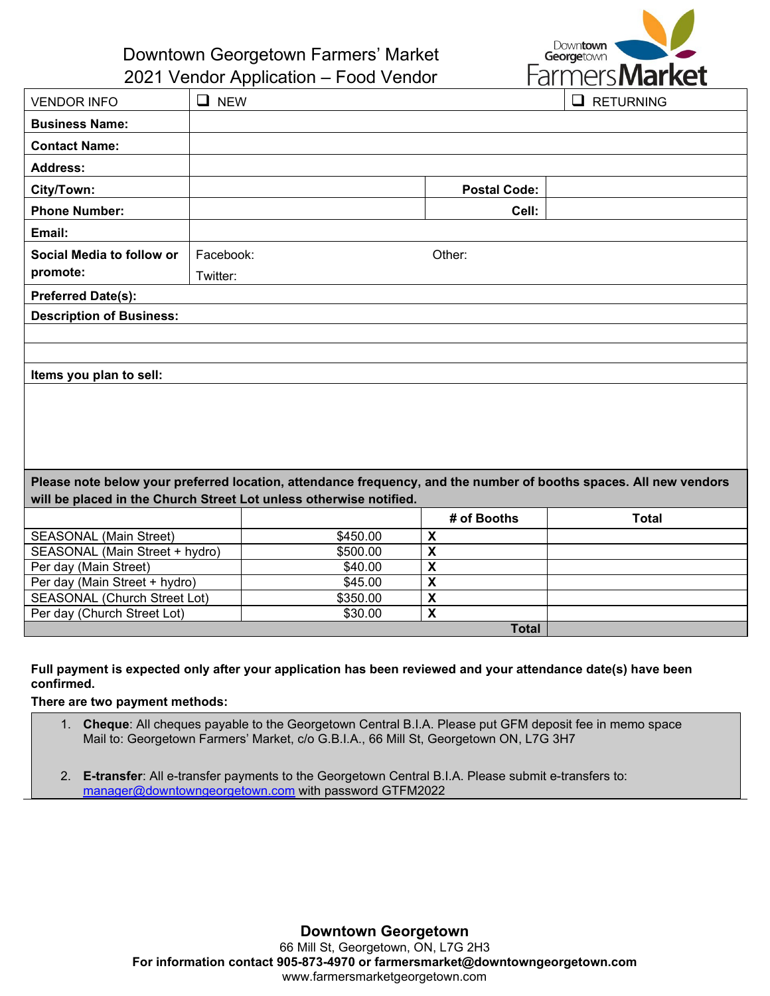

Downtown Georgetown Farmers' Market 2021 Vendor Application – Food Vendor

|                                                                                                                   | $2021$ voltaor reprisement today voltaor |          |                           | <b>I UITTULIJITUHI ING U</b> |
|-------------------------------------------------------------------------------------------------------------------|------------------------------------------|----------|---------------------------|------------------------------|
| <b>VENDOR INFO</b>                                                                                                | $\Box$ NEW                               |          |                           | $\Box$<br><b>RETURNING</b>   |
| <b>Business Name:</b>                                                                                             |                                          |          |                           |                              |
| <b>Contact Name:</b>                                                                                              |                                          |          |                           |                              |
| <b>Address:</b>                                                                                                   |                                          |          |                           |                              |
| City/Town:                                                                                                        |                                          |          | <b>Postal Code:</b>       |                              |
| <b>Phone Number:</b>                                                                                              |                                          |          | Cell:                     |                              |
| Email:                                                                                                            |                                          |          |                           |                              |
| Social Media to follow or                                                                                         | Facebook:                                |          | Other:                    |                              |
| promote:                                                                                                          | Twitter:                                 |          |                           |                              |
| <b>Preferred Date(s):</b>                                                                                         |                                          |          |                           |                              |
| <b>Description of Business:</b>                                                                                   |                                          |          |                           |                              |
|                                                                                                                   |                                          |          |                           |                              |
|                                                                                                                   |                                          |          |                           |                              |
| Items you plan to sell:                                                                                           |                                          |          |                           |                              |
|                                                                                                                   |                                          |          |                           |                              |
|                                                                                                                   |                                          |          |                           |                              |
| Please note below your preferred location, attendance frequency, and the number of booths spaces. All new vendors |                                          |          |                           |                              |
| will be placed in the Church Street Lot unless otherwise notified.                                                |                                          |          |                           |                              |
|                                                                                                                   |                                          |          | # of Booths               | <b>Total</b>                 |
| <b>SEASONAL (Main Street)</b>                                                                                     |                                          | \$450.00 | X                         |                              |
| SEASONAL (Main Street + hydro)                                                                                    |                                          | \$500.00 | X                         |                              |
| Per day (Main Street)                                                                                             |                                          | \$40.00  | $\boldsymbol{\mathsf{x}}$ |                              |
| Per day (Main Street + hydro)                                                                                     |                                          | \$45.00  | $\boldsymbol{\mathsf{X}}$ |                              |
| <b>SEASONAL (Church Street Lot)</b>                                                                               |                                          | \$350.00 | $\boldsymbol{\mathsf{x}}$ |                              |
| Per day (Church Street Lot)                                                                                       |                                          | \$30.00  | $\boldsymbol{\mathsf{X}}$ |                              |
|                                                                                                                   |                                          |          | <b>Total</b>              |                              |

## **Full payment is expected only after your application has been reviewed and your attendance date(s) have been confirmed.**

**There are two payment methods:**

- 1. **Cheque**: All cheques payable to the Georgetown Central B.I.A. Please put GFM deposit fee in memo space Mail to: Georgetown Farmers' Market, c/o G.B.I.A., 66 Mill St, Georgetown ON, L7G 3H7
- 2. **E-transfer**: All e-transfer payments to the Georgetown Central B.I.A. Please submit e-transfers to: [manager@downtowngeorgetown.com](mailto:manager@downtowngeorgetown.com) with password GTFM2022